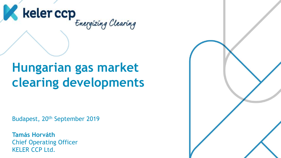

# **Hungarian gas market clearing developments**

Budapest, 20th September 2019

**Tamás Horváth** Chief Operating Officer KELER CCP Ltd.

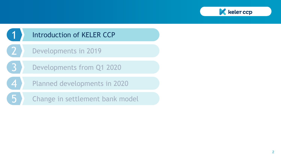

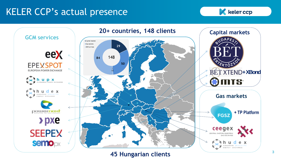## KELER CCP's actual presence





**45 Hungarian clients**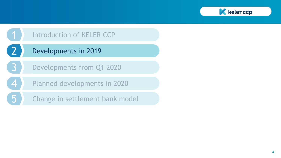

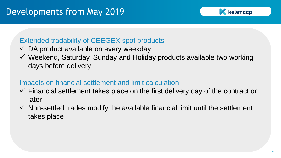

#### Extended tradability of CEEGEX spot products

- $\checkmark$  DA product available on every weekday
- $\checkmark$  Weekend, Saturday, Sunday and Holiday products available two working days before delivery

## Impacts on financial settlement and limit calculation

- $\checkmark$  Financial settlement takes place on the first delivery day of the contract or later
- $\checkmark$  Non-settled trades modify the available financial limit until the settlement takes place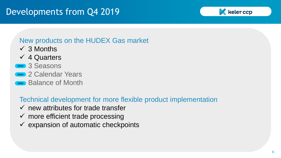## Developments from Q4 2019



#### New products on the HUDEX Gas market

 $\checkmark$  3 Months

## $\sqrt{4}$  Quarters

- new 3 Seasons
- new 2 Calendar Years
- new Balance of Month

## Technical development for more flexible product implementation

- $\checkmark$  new attributes for trade transfer
- $\checkmark$  more efficient trade processing
- $\checkmark$  expansion of automatic checkpoints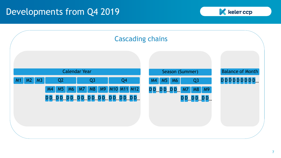## Developments from Q4 2019



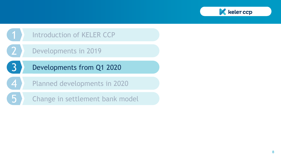

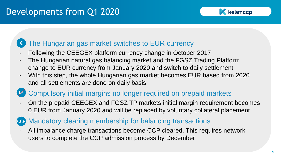## Developments from Q1 2020

#### keler ccp

#### The Hungarian gas market switches to EUR currency €

- Following the CEEGEX platform currency change in October 2017
- The Hungarian natural gas balancing market and the FGSZ Trading Platform change to EUR currency from January 2020 and switch to daily settlement
- With this step, the whole Hungarian gas market becomes EUR based from 2020 and all settlements are done on daily basis

## **M** Compulsory initial margins no longer required on prepaid markets

- On the prepaid CEEGEX and FGSZ TP markets initial margin requirement becomes 0 EUR from January 2020 and will be replaced by voluntary collateral placement
- ccp Mandatory clearing membership for balancing transactions
- All imbalance charge transactions become CCP cleared. This requires network users to complete the CCP admission process by December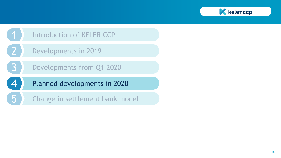

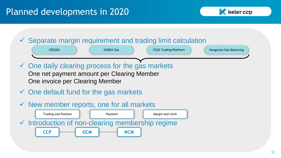## Planned developments in 2020



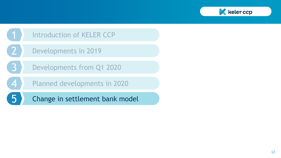

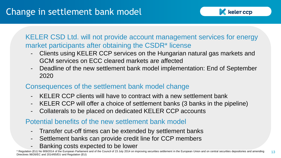

KELER CSD Ltd. will not provide account management services for energy market participants after obtaining the CSDR\* license

- Clients using KELER CCP services on the Hungarian natural gas markets and GCM services on ECC cleared markets are affected
- Deadline of the new settlement bank model implementation: End of September 2020

#### Consequences of the settlement bank model change

- KELER CCP clients will have to contract with a new settlement bank
- KELER CCP will offer a choice of settlement banks (3 banks in the pipeline)
- Collaterals to be placed on dedicated KELER CCP accounts

#### Potential benefits of the new settlement bank model

- Transfer cut-off times can be extended by settlement banks
- Settlement banks can provide credit line for CCP members
- Banking costs expected to be lower

13 \* Regulation (EU) No 909/2014 of the European Parliament and of the Council of 23 July 2014 on improving securities settlement in the European Union and on central securities depositories and amending Directives 98/26/EC and 2014/65/EU and Regulation (EU)